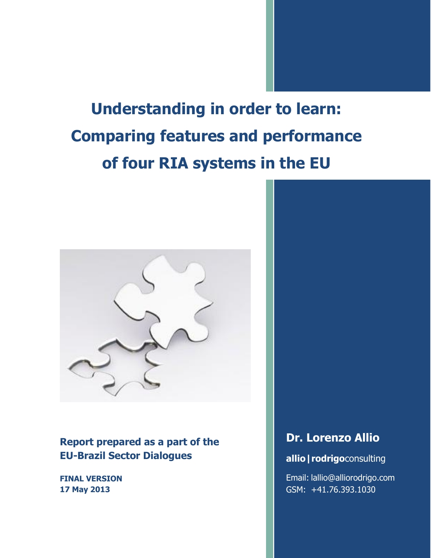**Understanding in order to learn: Comparing features and performance of four RIA systems in the EU**



**Report prepared as a part of the EU-Brazil Sector Dialogues**

**FINAL VERSION 17 May 2013**

## **Dr. Lorenzo Allio**

## **allio|rodrigo**consulting

Email: lallio@alliorodrigo.com GSM: +41.76.393.1030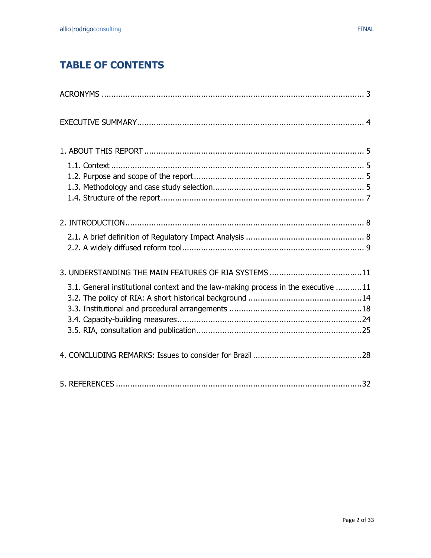# **TABLE OF CONTENTS**

| 3.1. General institutional context and the law-making process in the executive 11 |
|-----------------------------------------------------------------------------------|
|                                                                                   |
|                                                                                   |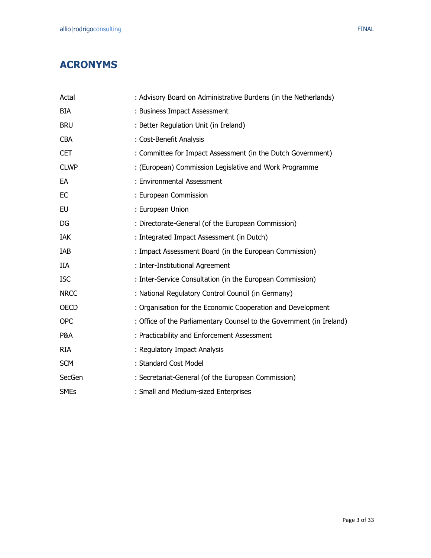<span id="page-2-0"></span>

| Actal       | : Advisory Board on Administrative Burdens (in the Netherlands)      |
|-------------|----------------------------------------------------------------------|
| <b>BIA</b>  | : Business Impact Assessment                                         |
| <b>BRU</b>  | : Better Regulation Unit (in Ireland)                                |
| <b>CBA</b>  | : Cost-Benefit Analysis                                              |
| <b>CET</b>  | : Committee for Impact Assessment (in the Dutch Government)          |
| <b>CLWP</b> | : (European) Commission Legislative and Work Programme               |
| EA          | : Environmental Assessment                                           |
| EC          | : European Commission                                                |
| EU          | : European Union                                                     |
| DG          | : Directorate-General (of the European Commission)                   |
| <b>IAK</b>  | : Integrated Impact Assessment (in Dutch)                            |
| IAB         | : Impact Assessment Board (in the European Commission)               |
| <b>IIA</b>  | : Inter-Institutional Agreement                                      |
| <b>ISC</b>  | : Inter-Service Consultation (in the European Commission)            |
| <b>NRCC</b> | : National Regulatory Control Council (in Germany)                   |
| <b>OECD</b> | : Organisation for the Economic Cooperation and Development          |
| <b>OPC</b>  | : Office of the Parliamentary Counsel to the Government (in Ireland) |
| P&A         | : Practicability and Enforcement Assessment                          |
| <b>RIA</b>  | : Regulatory Impact Analysis                                         |
| <b>SCM</b>  | : Standard Cost Model                                                |
| SecGen      | : Secretariat-General (of the European Commission)                   |
| <b>SMEs</b> | : Small and Medium-sized Enterprises                                 |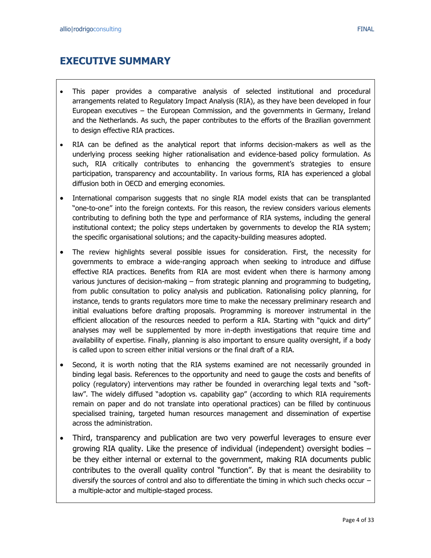## <span id="page-3-0"></span>**EXECUTIVE SUMMARY**

- This paper provides a comparative analysis of selected institutional and procedural arrangements related to Regulatory Impact Analysis (RIA), as they have been developed in four European executives – the European Commission, and the governments in Germany, Ireland and the Netherlands. As such, the paper contributes to the efforts of the Brazilian government to design effective RIA practices.
- RIA can be defined as the analytical report that informs decision-makers as well as the underlying process seeking higher rationalisation and evidence-based policy formulation. As such, RIA critically contributes to enhancing the government's strategies to ensure participation, transparency and accountability. In various forms, RIA has experienced a global diffusion both in OECD and emerging economies.
- International comparison suggests that no single RIA model exists that can be transplanted "one-to-one" into the foreign contexts. For this reason, the review considers various elements contributing to defining both the type and performance of RIA systems, including the general institutional context; the policy steps undertaken by governments to develop the RIA system; the specific organisational solutions; and the capacity-building measures adopted.
- The review highlights several possible issues for consideration. First, the necessity for governments to embrace a wide-ranging approach when seeking to introduce and diffuse effective RIA practices. Benefits from RIA are most evident when there is harmony among various junctures of decision-making – from strategic planning and programming to budgeting, from public consultation to policy analysis and publication. Rationalising policy planning, for instance, tends to grants regulators more time to make the necessary preliminary research and initial evaluations before drafting proposals. Programming is moreover instrumental in the efficient allocation of the resources needed to perform a RIA. Starting with "quick and dirty" analyses may well be supplemented by more in-depth investigations that require time and availability of expertise. Finally, planning is also important to ensure quality oversight, if a body is called upon to screen either initial versions or the final draft of a RIA.
- Second, it is worth noting that the RIA systems examined are not necessarily grounded in binding legal basis. References to the opportunity and need to gauge the costs and benefits of policy (regulatory) interventions may rather be founded in overarching legal texts and "softlaw". The widely diffused "adoption vs. capability gap" (according to which RIA requirements remain on paper and do not translate into operational practices) can be filled by continuous specialised training, targeted human resources management and dissemination of expertise across the administration.
- Third, transparency and publication are two very powerful leverages to ensure ever growing RIA quality. Like the presence of individual (independent) oversight bodies – be they either internal or external to the government, making RIA documents public contributes to the overall quality control "function". By that is meant the desirability to diversify the sources of control and also to differentiate the timing in which such checks occur – a multiple-actor and multiple-staged process.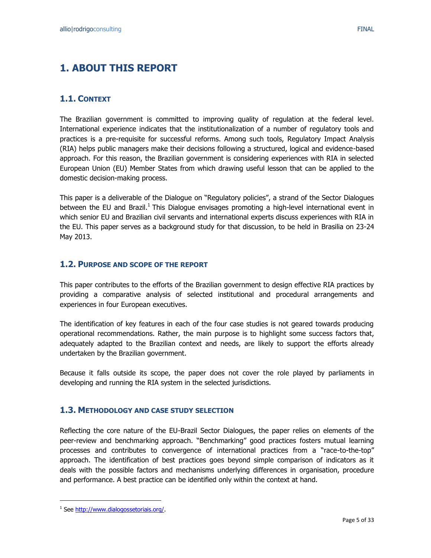## <span id="page-4-0"></span>**1. ABOUT THIS REPORT**

## <span id="page-4-1"></span>**1.1. CONTEXT**

The Brazilian government is committed to improving quality of regulation at the federal level. International experience indicates that the institutionalization of a number of regulatory tools and practices is a pre-requisite for successful reforms. Among such tools, Regulatory Impact Analysis (RIA) helps public managers make their decisions following a structured, logical and evidence-based approach. For this reason, the Brazilian government is considering experiences with RIA in selected European Union (EU) Member States from which drawing useful lesson that can be applied to the domestic decision-making process.

This paper is a deliverable of the Dialogue on "Regulatory policies", a strand of the Sector Dialogues between the EU and Brazil.<sup>1</sup> This Dialogue envisages promoting a high-level international event in which senior EU and Brazilian civil servants and international experts discuss experiences with RIA in the EU. This paper serves as a background study for that discussion, to be held in Brasilia on 23-24 May 2013.

### <span id="page-4-2"></span>**1.2. PURPOSE AND SCOPE OF THE REPORT**

This paper contributes to the efforts of the Brazilian government to design effective RIA practices by providing a comparative analysis of selected institutional and procedural arrangements and experiences in four European executives.

The identification of key features in each of the four case studies is not geared towards producing operational recommendations. Rather, the main purpose is to highlight some success factors that, adequately adapted to the Brazilian context and needs, are likely to support the efforts already undertaken by the Brazilian government.

Because it falls outside its scope, the paper does not cover the role played by parliaments in developing and running the RIA system in the selected jurisdictions.

### <span id="page-4-3"></span>**1.3. METHODOLOGY AND CASE STUDY SELECTION**

Reflecting the core nature of the EU-Brazil Sector Dialogues, the paper relies on elements of the peer-review and benchmarking approach. "Benchmarking" good practices fosters mutual learning processes and contributes to convergence of international practices from a "race-to-the-top" approach. The identification of best practices goes beyond simple comparison of indicators as it deals with the possible factors and mechanisms underlying differences in organisation, procedure and performance. A best practice can be identified only within the context at hand.

 $\overline{a}$ 

<sup>&</sup>lt;sup>1</sup> See [http://www.dialogossetoriais.org/.](http://www.dialogossetoriais.org/)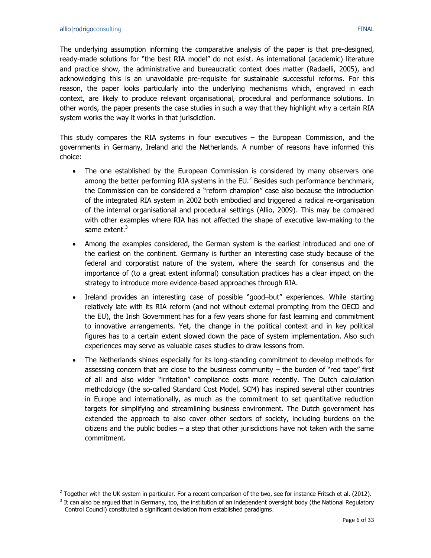$\overline{a}$ 

The underlying assumption informing the comparative analysis of the paper is that pre-designed, ready-made solutions for "the best RIA model" do not exist. As international (academic) literature and practice show, the administrative and bureaucratic context does matter (Radaelli, 2005), and acknowledging this is an unavoidable pre-requisite for sustainable successful reforms. For this reason, the paper looks particularly into the underlying mechanisms which, engraved in each context, are likely to produce relevant organisational, procedural and performance solutions. In other words, the paper presents the case studies in such a way that they highlight why a certain RIA system works the way it works in that jurisdiction.

This study compares the RIA systems in four executives – the European Commission, and the governments in Germany, Ireland and the Netherlands. A number of reasons have informed this choice:

- The one established by the European Commission is considered by many observers one among the better performing RIA systems in the EU. $^2$  Besides such performance benchmark, the Commission can be considered a "reform champion" case also because the introduction of the integrated RIA system in 2002 both embodied and triggered a radical re-organisation of the internal organisational and procedural settings (Allio, 2009). This may be compared with other examples where RIA has not affected the shape of executive law-making to the same extent.<sup>3</sup>
- Among the examples considered, the German system is the earliest introduced and one of the earliest on the continent. Germany is further an interesting case study because of the federal and corporatist nature of the system, where the search for consensus and the importance of (to a great extent informal) consultation practices has a clear impact on the strategy to introduce more evidence-based approaches through RIA.
- Ireland provides an interesting case of possible "good–but" experiences. While starting relatively late with its RIA reform (and not without external prompting from the OECD and the EU), the Irish Government has for a few years shone for fast learning and commitment to innovative arrangements. Yet, the change in the political context and in key political figures has to a certain extent slowed down the pace of system implementation. Also such experiences may serve as valuable cases studies to draw lessons from.
- The Netherlands shines especially for its long-standing commitment to develop methods for assessing concern that are close to the business community  $-$  the burden of "red tape" first of all and also wider "irritation" compliance costs more recently. The Dutch calculation methodology (the so-called Standard Cost Model, SCM) has inspired several other countries in Europe and internationally, as much as the commitment to set quantitative reduction targets for simplifying and streamlining business environment. The Dutch government has extended the approach to also cover other sectors of society, including burdens on the citizens and the public bodies  $-$  a step that other jurisdictions have not taken with the same commitment.

<sup>&</sup>lt;sup>2</sup> Together with the UK system in particular. For a recent comparison of the two, see for instance Fritsch et al. (2012).

 $3$  It can also be argued that in Germany, too, the institution of an independent oversight body (the National Regulatory Control Council) constituted a significant deviation from established paradigms.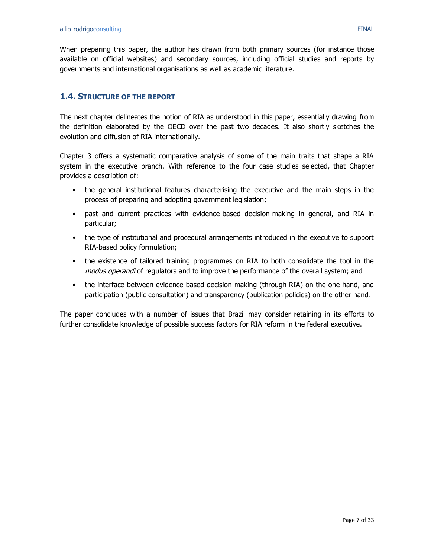When preparing this paper, the author has drawn from both primary sources (for instance those available on official websites) and secondary sources, including official studies and reports by governments and international organisations as well as academic literature.

## <span id="page-6-0"></span>**1.4. STRUCTURE OF THE REPORT**

The next chapter delineates the notion of RIA as understood in this paper, essentially drawing from the definition elaborated by the OECD over the past two decades. It also shortly sketches the evolution and diffusion of RIA internationally.

Chapter 3 offers a systematic comparative analysis of some of the main traits that shape a RIA system in the executive branch. With reference to the four case studies selected, that Chapter provides a description of:

- the general institutional features characterising the executive and the main steps in the process of preparing and adopting government legislation;
- past and current practices with evidence-based decision-making in general, and RIA in particular;
- the type of institutional and procedural arrangements introduced in the executive to support RIA-based policy formulation;
- the existence of tailored training programmes on RIA to both consolidate the tool in the modus operandi of regulators and to improve the performance of the overall system; and
- the interface between evidence-based decision-making (through RIA) on the one hand, and participation (public consultation) and transparency (publication policies) on the other hand.

The paper concludes with a number of issues that Brazil may consider retaining in its efforts to further consolidate knowledge of possible success factors for RIA reform in the federal executive.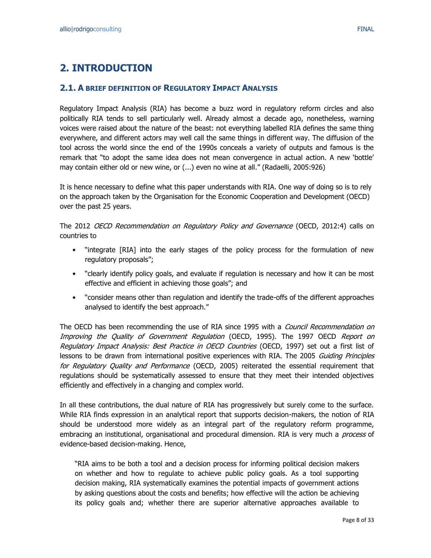## <span id="page-7-0"></span>**2. INTRODUCTION**

### <span id="page-7-1"></span>**2.1. A BRIEF DEFINITION OF REGULATORY IMPACT ANALYSIS**

Regulatory Impact Analysis (RIA) has become a buzz word in regulatory reform circles and also politically RIA tends to sell particularly well. Already almost a decade ago, nonetheless, warning voices were raised about the nature of the beast: not everything labelled RIA defines the same thing everywhere, and different actors may well call the same things in different way. The diffusion of the tool across the world since the end of the 1990s conceals a variety of outputs and famous is the remark that "to adopt the same idea does not mean convergence in actual action. A new 'bottle' may contain either old or new wine, or (...) even no wine at all." (Radaelli, 2005:926)

It is hence necessary to define what this paper understands with RIA. One way of doing so is to rely on the approach taken by the Organisation for the Economic Cooperation and Development (OECD) over the past 25 years.

The 2012 OECD Recommendation on Regulatory Policy and Governance (OECD, 2012:4) calls on countries to

- "integrate [RIA] into the early stages of the policy process for the formulation of new regulatory proposals";
- "clearly identify policy goals, and evaluate if regulation is necessary and how it can be most effective and efficient in achieving those goals"; and
- "consider means other than regulation and identify the trade-offs of the different approaches analysed to identify the best approach."

The OECD has been recommending the use of RIA since 1995 with a *Council Recommendation on* Improving the Quality of Government Regulation (OECD, 1995). The 1997 OECD Report on Requlatory Impact Analysis: Best Practice in OECD Countries (OECD, 1997) set out a first list of lessons to be drawn from international positive experiences with RIA. The 2005 Guiding Principles for Regulatory Quality and Performance (OECD, 2005) reiterated the essential requirement that regulations should be systematically assessed to ensure that they meet their intended objectives efficiently and effectively in a changing and complex world.

In all these contributions, the dual nature of RIA has progressively but surely come to the surface. While RIA finds expression in an analytical report that supports decision-makers, the notion of RIA should be understood more widely as an integral part of the regulatory reform programme, embracing an institutional, organisational and procedural dimension. RIA is very much a *process* of evidence-based decision-making. Hence,

"RIA aims to be both a tool and a decision process for informing political decision makers on whether and how to regulate to achieve public policy goals. As a tool supporting decision making, RIA systematically examines the potential impacts of government actions by asking questions about the costs and benefits; how effective will the action be achieving its policy goals and; whether there are superior alternative approaches available to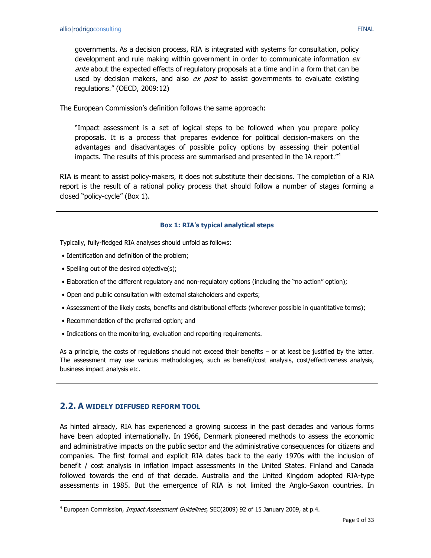governments. As a decision process, RIA is integrated with systems for consultation, policy development and rule making within government in order to communicate information  $ex$ ante about the expected effects of regulatory proposals at a time and in a form that can be used by decision makers, and also ex post to assist governments to evaluate existing regulations." (OECD, 2009:12)

The European Commission's definition follows the same approach:

"Impact assessment is a set of logical steps to be followed when you prepare policy proposals. It is a process that prepares evidence for political decision-makers on the advantages and disadvantages of possible policy options by assessing their potential impacts. The results of this process are summarised and presented in the IA report."<sup>4</sup>

RIA is meant to assist policy-makers, it does not substitute their decisions. The completion of a RIA report is the result of a rational policy process that should follow a number of stages forming a closed "policy-cycle" (Box 1).

#### **Box 1: RIA's typical analytical steps**

Typically, fully-fledged RIA analyses should unfold as follows:

- Identification and definition of the problem;
- Spelling out of the desired objective(s);
- Elaboration of the different regulatory and non-regulatory options (including the "no action" option);
- Open and public consultation with external stakeholders and experts;
- Assessment of the likely costs, benefits and distributional effects (wherever possible in quantitative terms);
- Recommendation of the preferred option; and
- Indications on the monitoring, evaluation and reporting requirements.

As a principle, the costs of regulations should not exceed their benefits – or at least be justified by the latter. The assessment may use various methodologies, such as benefit/cost analysis, cost/effectiveness analysis, business impact analysis etc.

## <span id="page-8-0"></span>**2.2. A WIDELY DIFFUSED REFORM TOOL**

 $\overline{a}$ 

As hinted already, RIA has experienced a growing success in the past decades and various forms have been adopted internationally. In 1966, Denmark pioneered methods to assess the economic and administrative impacts on the public sector and the administrative consequences for citizens and companies. The first formal and explicit RIA dates back to the early 1970s with the inclusion of benefit / cost analysis in inflation impact assessments in the United States. Finland and Canada followed towards the end of that decade. Australia and the United Kingdom adopted RIA-type assessments in 1985. But the emergence of RIA is not limited the Anglo-Saxon countries. In

<sup>&</sup>lt;sup>4</sup> European Commission, *Impact Assessment Guidelines*, SEC(2009) 92 of 15 January 2009, at p.4.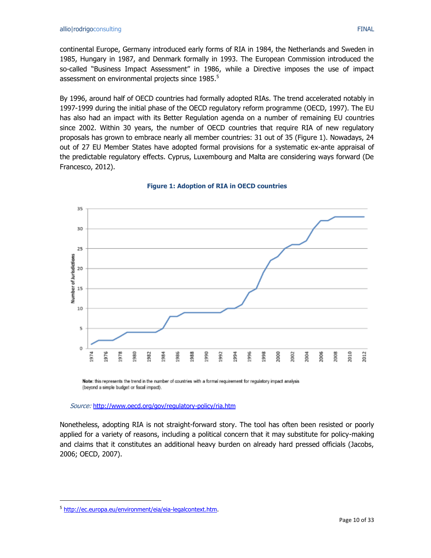continental Europe, Germany introduced early forms of RIA in 1984, the Netherlands and Sweden in

1985, Hungary in 1987, and Denmark formally in 1993. The European Commission introduced the so-called "Business Impact Assessment" in 1986, while a Directive imposes the use of impact assessment on environmental projects since 1985.<sup>5</sup>

By 1996, around half of OECD countries had formally adopted RIAs. The trend accelerated notably in 1997-1999 during the initial phase of the OECD regulatory reform programme (OECD, 1997). The EU has also had an impact with its Better Regulation agenda on a number of remaining EU countries since 2002. Within 30 years, the number of OECD countries that require RIA of new regulatory proposals has grown to embrace nearly all member countries: 31 out of 35 (Figure 1). Nowadays, 24 out of 27 EU Member States have adopted formal provisions for a systematic ex-ante appraisal of the predictable regulatory effects. Cyprus, Luxembourg and Malta are considering ways forward (De Francesco, 2012).



**Figure 1: Adoption of RIA in OECD countries**

Note: this represents the trend in the number of countries with a formal requirement for regulatory impact analysis (beyond a simple budget or fiscal impact).

Source: <http://www.oecd.org/gov/regulatory-policy/ria.htm>

Nonetheless, adopting RIA is not straight-forward story. The tool has often been resisted or poorly applied for a variety of reasons, including a political concern that it may substitute for policy-making and claims that it constitutes an additional heavy burden on already hard pressed officials (Jacobs, 2006; OECD, 2007).

 $\overline{a}$ 

<sup>&</sup>lt;sup>5</sup> [http://ec.europa.eu/environment/eia/eia-legalcontext.htm.](http://ec.europa.eu/environment/eia/eia-legalcontext.htm)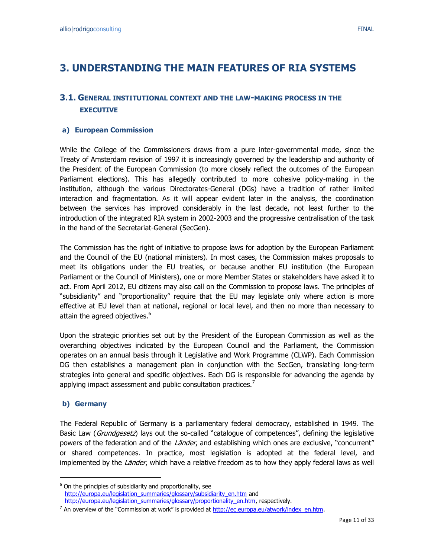## <span id="page-10-0"></span>**3. UNDERSTANDING THE MAIN FEATURES OF RIA SYSTEMS**

## <span id="page-10-1"></span>**3.1. GENERAL INSTITUTIONAL CONTEXT AND THE LAW-MAKING PROCESS IN THE EXECUTIVE**

#### **a) European Commission**

While the College of the Commissioners draws from a pure inter-governmental mode, since the Treaty of Amsterdam revision of 1997 it is increasingly governed by the leadership and authority of the President of the European Commission (to more closely reflect the outcomes of the European Parliament elections). This has allegedly contributed to more cohesive policy-making in the institution, although the various Directorates-General (DGs) have a tradition of rather limited interaction and fragmentation. As it will appear evident later in the analysis, the coordination between the services has improved considerably in the last decade, not least further to the introduction of the integrated RIA system in 2002-2003 and the progressive centralisation of the task in the hand of the Secretariat-General (SecGen).

The Commission has the right of initiative to propose laws for adoption by the European Parliament and the Council of the EU (national ministers). In most cases, the Commission makes proposals to meet its obligations under the EU treaties, or because another EU institution (the European Parliament or the Council of Ministers), one or more Member States or stakeholders have asked it to act. From April 2012, EU citizens may also call on the Commission to propose laws. The principles of "subsidiarity" and "proportionality" require that the EU may legislate only where action is more effective at EU level than at national, regional or local level, and then no more than necessary to attain the agreed objectives.<sup>6</sup>

Upon the strategic priorities set out by the President of the European Commission as well as the overarching objectives indicated by the European Council and the Parliament, the Commission operates on an annual basis through it Legislative and Work Programme (CLWP). Each Commission DG then establishes a management plan in conjunction with the SecGen, translating long-term strategies into general and specific objectives. Each DG is responsible for advancing the agenda by applying impact assessment and public consultation practices.<sup>7</sup>

#### **b) Germany**

 $\ddot{\phantom{a}}$ 

The Federal Republic of Germany is a parliamentary federal democracy, established in 1949. The Basic Law (Grundgesetz) lays out the so-called "catalogue of competences", defining the legislative powers of the federation and of the *Länder*, and establishing which ones are exclusive, "concurrent" or shared competences. In practice, most legislation is adopted at the federal level, and implemented by the *Länder*, which have a relative freedom as to how they apply federal laws as well

 $6$  On the principles of subsidiarity and proportionality, see [http://europa.eu/legislation\\_summaries/glossary/subsidiarity\\_en.htm](http://europa.eu/legislation_summaries/glossary/subsidiarity_en.htm) and [http://europa.eu/legislation\\_summaries/glossary/proportionality\\_en.htm,](http://europa.eu/legislation_summaries/glossary/proportionality_en.htm) respectively.

<sup>&</sup>lt;sup>7</sup> An overview of the "Commission at work" is provided at [http://ec.europa.eu/atwork/index\\_en.htm.](http://ec.europa.eu/atwork/index_en.htm)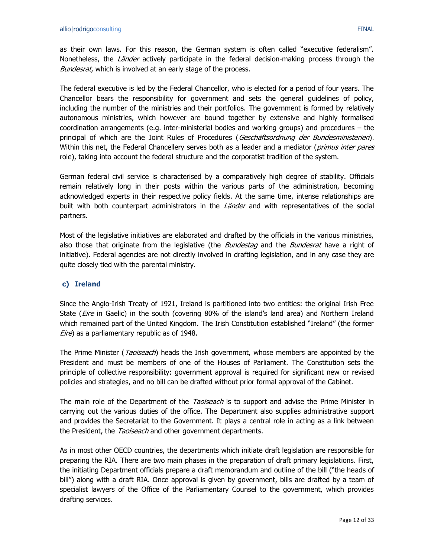as their own laws. For this reason, the German system is often called "executive federalism". Nonetheless, the *Länder* actively participate in the federal decision-making process through the Bundesrat, which is involved at an early stage of the process.

The federal executive is led by the Federal Chancellor, who is elected for a period of four years. The Chancellor bears the responsibility for government and sets the general guidelines of policy, including the number of the ministries and their portfolios. The government is formed by relatively autonomous ministries, which however are bound together by extensive and highly formalised coordination arrangements (e.g. inter-ministerial bodies and working groups) and procedures – the principal of which are the Joint Rules of Procedures (Geschäftsordnung der Bundesministerien). Within this net, the Federal Chancellery serves both as a leader and a mediator (primus inter pares role), taking into account the federal structure and the corporatist tradition of the system.

German federal civil service is characterised by a comparatively high degree of stability. Officials remain relatively long in their posts within the various parts of the administration, becoming acknowledged experts in their respective policy fields. At the same time, intense relationships are built with both counterpart administrators in the Länder and with representatives of the social partners.

Most of the legislative initiatives are elaborated and drafted by the officials in the various ministries, also those that originate from the legislative (the *Bundestag* and the *Bundesrat* have a right of initiative). Federal agencies are not directly involved in drafting legislation, and in any case they are quite closely tied with the parental ministry.

## **c) Ireland**

Since the Anglo-Irish Treaty of 1921, Ireland is partitioned into two entities: the original Irish Free State (*Eire* in Gaelic) in the south (covering 80% of the island's land area) and Northern Ireland which remained part of the United Kingdom. The Irish Constitution established "Ireland" (the former Eire) as a parliamentary republic as of 1948.

The Prime Minister (*Taoiseach*) heads the Irish government, whose members are appointed by the President and must be members of one of the Houses of Parliament. The Constitution sets the principle of collective responsibility: government approval is required for significant new or revised policies and strategies, and no bill can be drafted without prior formal approval of the Cabinet.

The main role of the Department of the *Taoiseach* is to support and advise the Prime Minister in carrying out the various duties of the office. The Department also supplies administrative support and provides the Secretariat to the Government. It plays a central role in acting as a link between the President, the Taoiseach and other government departments.

As in most other OECD countries, the departments which initiate draft legislation are responsible for preparing the RIA. There are two main phases in the preparation of draft primary legislations. First, the initiating Department officials prepare a draft memorandum and outline of the bill ("the heads of bill") along with a draft RIA. Once approval is given by government, bills are drafted by a team of specialist lawyers of the Office of the Parliamentary Counsel to the government, which provides drafting services.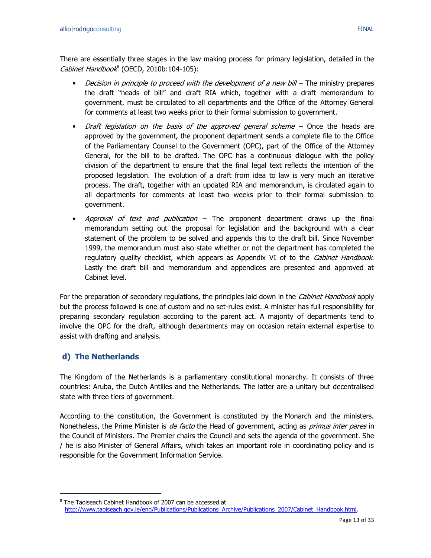There are essentially three stages in the law making process for primary legislation, detailed in the Cabinet Handbook<sup>8</sup> (OECD, 2010b:104-105):

- *Decision in principle to proceed with the development of a new bill –* The ministry prepares the draft "heads of bill" and draft RIA which, together with a draft memorandum to government, must be circulated to all departments and the Office of the Attorney General for comments at least two weeks prior to their formal submission to government.
- Draft legislation on the basis of the approved general scheme  $-$  Once the heads are approved by the government, the proponent department sends a complete file to the Office of the Parliamentary Counsel to the Government (OPC), part of the Office of the Attorney General, for the bill to be drafted. The OPC has a continuous dialogue with the policy division of the department to ensure that the final legal text reflects the intention of the proposed legislation. The evolution of a draft from idea to law is very much an iterative process. The draft, together with an updated RIA and memorandum, is circulated again to all departments for comments at least two weeks prior to their formal submission to government.
- Approval of text and publication The proponent department draws up the final memorandum setting out the proposal for legislation and the background with a clear statement of the problem to be solved and appends this to the draft bill. Since November 1999, the memorandum must also state whether or not the department has completed the regulatory quality checklist, which appears as Appendix VI of to the Cabinet Handbook. Lastly the draft bill and memorandum and appendices are presented and approved at Cabinet level.

For the preparation of secondary regulations, the principles laid down in the *Cabinet Handbook* apply but the process followed is one of custom and no set-rules exist. A minister has full responsibility for preparing secondary regulation according to the parent act. A majority of departments tend to involve the OPC for the draft, although departments may on occasion retain external expertise to assist with drafting and analysis.

## **d) The Netherlands**

 $\overline{a}$ 

The Kingdom of the Netherlands is a parliamentary constitutional monarchy. It consists of three countries: Aruba, the Dutch Antilles and the Netherlands. The latter are a unitary but decentralised state with three tiers of government.

According to the constitution, the Government is constituted by the Monarch and the ministers. Nonetheless, the Prime Minister is *de facto* the Head of government, acting as *primus inter pares* in the Council of Ministers. The Premier chairs the Council and sets the agenda of the government. She / he is also Minister of General Affairs, which takes an important role in coordinating policy and is responsible for the Government Information Service.

<sup>&</sup>lt;sup>8</sup> The Taoiseach Cabinet Handbook of 2007 can be accessed at [http://www.taoiseach.gov.ie/eng/Publications/Publications\\_Archive/Publications\\_2007/Cabinet\\_Handbook.html.](http://www.taoiseach.gov.ie/eng/Publications/Publications_Archive/Publications_2007/Cabinet_Handbook.html)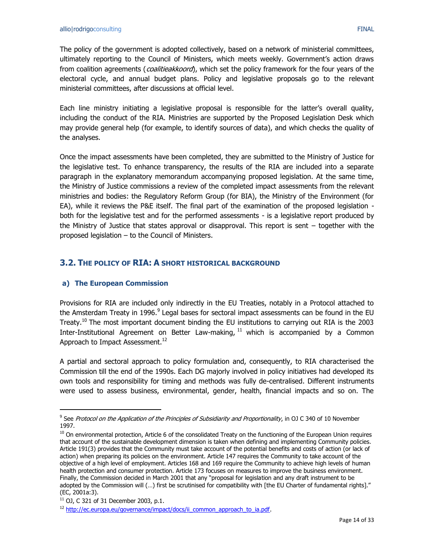The policy of the government is adopted collectively, based on a network of ministerial committees, ultimately reporting to the Council of Ministers, which meets weekly. Government's action draws from coalition agreements (*coalitieakkoord*), which set the policy framework for the four years of the electoral cycle, and annual budget plans. Policy and legislative proposals go to the relevant ministerial committees, after discussions at official level.

Each line ministry initiating a legislative proposal is responsible for the latter's overall quality, including the conduct of the RIA. Ministries are supported by the Proposed Legislation Desk which may provide general help (for example, to identify sources of data), and which checks the quality of the analyses.

Once the impact assessments have been completed, they are submitted to the Ministry of Justice for the legislative test. To enhance transparency, the results of the RIA are included into a separate paragraph in the explanatory memorandum accompanying proposed legislation. At the same time, the Ministry of Justice commissions a review of the completed impact assessments from the relevant ministries and bodies: the Regulatory Reform Group (for BIA), the Ministry of the Environment (for EA), while it reviews the P&E itself. The final part of the examination of the proposed legislation both for the legislative test and for the performed assessments - is a legislative report produced by the Ministry of Justice that states approval or disapproval. This report is sent – together with the proposed legislation – to the Council of Ministers.

## <span id="page-13-0"></span>**3.2. THE POLICY OF RIA: A SHORT HISTORICAL BACKGROUND**

## **a) The European Commission**

Provisions for RIA are included only indirectly in the EU Treaties, notably in a Protocol attached to the Amsterdam Treaty in 1996.<sup>9</sup> Legal bases for sectoral impact assessments can be found in the EU Treaty.<sup>10</sup> The most important document binding the EU institutions to carrying out RIA is the 2003 Inter-Institutional Agreement on Better Law-making,  $11$  which is accompanied by a Common Approach to Impact Assessment.<sup>12</sup>

A partial and sectoral approach to policy formulation and, consequently, to RIA characterised the Commission till the end of the 1990s. Each DG majorly involved in policy initiatives had developed its own tools and responsibility for timing and methods was fully de-centralised. Different instruments were used to assess business, environmental, gender, health, financial impacts and so on. The

 $\ddot{\phantom{a}}$ 

<sup>&</sup>lt;sup>9</sup> See Protocol on the Application of the Principles of Subsidiarity and Proportionality, in OJ C 340 of 10 November 1997.

<sup>&</sup>lt;sup>10</sup> On environmental protection, Article 6 of the consolidated Treaty on the functioning of the European Union requires that account of the sustainable development dimension is taken when defining and implementing Community policies. Article 191(3) provides that the Community must take account of the potential benefits and costs of action (or lack of action) when preparing its policies on the environment. Article 147 requires the Community to take account of the objective of a high level of employment. Articles 168 and 169 require the Community to achieve high levels of human health protection and consumer protection. Article 173 focuses on measures to improve the business environment. Finally, the Commission decided in March 2001 that any "proposal for legislation and any draft instrument to be adopted by the Commission will (…) first be scrutinised for compatibility with [the EU Charter of fundamental rights]." (EC, 2001a:3).

 $11$  OJ, C 321 of 31 December 2003, p.1.

<sup>&</sup>lt;sup>12</sup> [http://ec.europa.eu/governance/impact/docs/ii\\_common\\_approach\\_to\\_ia.pdf.](http://ec.europa.eu/governance/impact/docs/ii_common_approach_to_ia.pdf)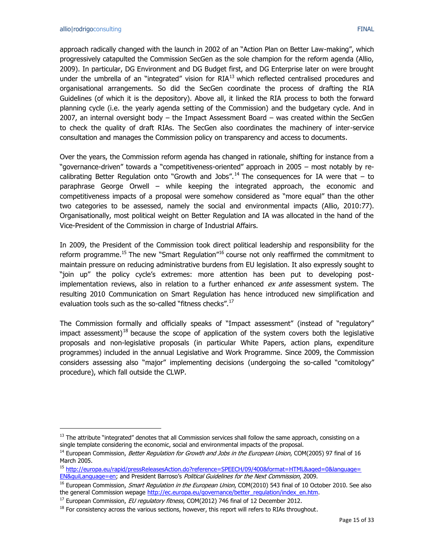$\overline{a}$ 

approach radically changed with the launch in 2002 of an "Action Plan on Better Law-making", which progressively catapulted the Commission SecGen as the sole champion for the reform agenda (Allio, 2009). In particular, DG Environment and DG Budget first, and DG Enterprise later on were brought under the umbrella of an "integrated" vision for  $RIA<sup>13</sup>$  which reflected centralised procedures and organisational arrangements. So did the SecGen coordinate the process of drafting the RIA Guidelines (of which it is the depository). Above all, it linked the RIA process to both the forward planning cycle (i.e. the yearly agenda setting of the Commission) and the budgetary cycle. And in 2007, an internal oversight body – the Impact Assessment Board – was created within the SecGen to check the quality of draft RIAs. The SecGen also coordinates the machinery of inter-service consultation and manages the Commission policy on transparency and access to documents.

Over the years, the Commission reform agenda has changed in rationale, shifting for instance from a "governance-driven" towards a "competitiveness-oriented" approach in 2005 – most notably by recalibrating Better Regulation onto "Growth and Jobs".<sup>14</sup> The consequences for IA were that  $-$  to paraphrase George Orwell – while keeping the integrated approach, the economic and competitiveness impacts of a proposal were somehow considered as "more equal" than the other two categories to be assessed, namely the social and environmental impacts (Allio, 2010:77). Organisationally, most political weight on Better Regulation and IA was allocated in the hand of the Vice-President of the Commission in charge of Industrial Affairs.

In 2009, the President of the Commission took direct political leadership and responsibility for the reform programme.<sup>15</sup> The new "Smart Regulation"<sup>16</sup> course not only reaffirmed the commitment to maintain pressure on reducing administrative burdens from EU legislation. It also expressly sought to "join up" the policy cycle's extremes: more attention has been put to developing postimplementation reviews, also in relation to a further enhanced *ex ante* assessment system. The resulting 2010 Communication on Smart Regulation has hence introduced new simplification and evaluation tools such as the so-called "fitness checks".<sup>17</sup>

The Commission formally and officially speaks of "Impact assessment" (instead of "regulatory" impact assessment)<sup>18</sup> because the scope of application of the system covers both the legislative proposals and non-legislative proposals (in particular White Papers, action plans, expenditure programmes) included in the annual Legislative and Work Programme. Since 2009, the Commission considers assessing also "major" implementing decisions (undergoing the so-called "comitology" procedure), which fall outside the CLWP.

 $<sup>13</sup>$  The attribute "integrated" denotes that all Commission services shall follow the same approach, consisting on a</sup> single template considering the economic, social and environmental impacts of the proposal.

<sup>&</sup>lt;sup>14</sup> European Commission, *Better Regulation for Growth and Jobs in the European Union*, COM(2005) 97 final of 16 March 2005.

<sup>15</sup> [http://europa.eu/rapid/pressReleasesAction.do?reference=SPEECH/09/400&format=HTML&aged=0&language=](http://europa.eu/rapid/pressReleasesAction.do?reference=SPEECH/09/400&format=HTML&aged=0&language=%20EN&guiLanguage=en) 

[EN&guiLanguage=en](http://europa.eu/rapid/pressReleasesAction.do?reference=SPEECH/09/400&format=HTML&aged=0&language=%20EN&guiLanguage=en); and President Barroso's Political Guidelines for the Next Commission, 2009.

<sup>&</sup>lt;sup>16</sup> European Commission, Smart Regulation in the European Union, COM(2010) 543 final of 10 October 2010. See also the general Commission wepage [http://ec.europa.eu/governance/better\\_regulation/index\\_en.htm.](http://ec.europa.eu/governance/better_regulation/index_en.htm)

 $17$  European Commission, *EU regulatory fitness*, COM(2012) 746 final of 12 December 2012.

 $<sup>18</sup>$  For consistency across the various sections, however, this report will refers to RIAs throughout.</sup>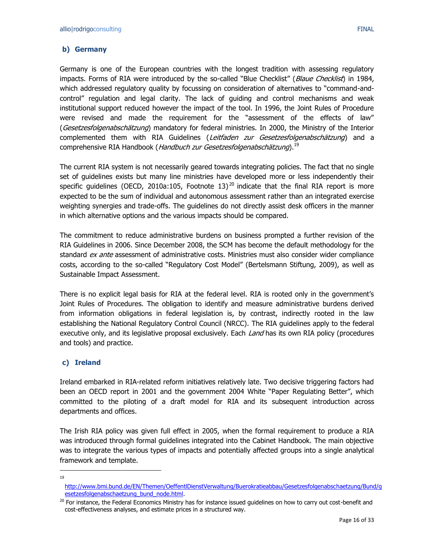### **b) Germany**

Germany is one of the European countries with the longest tradition with assessing regulatory impacts. Forms of RIA were introduced by the so-called "Blue Checklist" (Blaue Checklist) in 1984, which addressed regulatory quality by focussing on consideration of alternatives to "command-andcontrol" regulation and legal clarity. The lack of guiding and control mechanisms and weak institutional support reduced however the impact of the tool. In 1996, the Joint Rules of Procedure were revised and made the requirement for the "assessment of the effects of law" (Gesetzesfolgenabschätzung) mandatory for federal ministries. In 2000, the Ministry of the Interior complemented them with RIA Guidelines (Leitfaden zur Gesetzesfolgenabschätzung) and a comprehensive RIA Handbook (*Handbuch zur Gesetzesfolgenabschätzung*).<sup>19</sup>

The current RIA system is not necessarily geared towards integrating policies. The fact that no single set of guidelines exists but many line ministries have developed more or less independently their specific guidelines (OECD, 2010a:105, Footnote 13)<sup>20</sup> indicate that the final RIA report is more expected to be the sum of individual and autonomous assessment rather than an integrated exercise weighting synergies and trade-offs. The guidelines do not directly assist desk officers in the manner in which alternative options and the various impacts should be compared.

The commitment to reduce administrative burdens on business prompted a further revision of the RIA Guidelines in 2006. Since December 2008, the SCM has become the default methodology for the standard ex ante assessment of administrative costs. Ministries must also consider wider compliance costs, according to the so-called "Regulatory Cost Model" (Bertelsmann Stiftung, 2009), as well as Sustainable Impact Assessment.

There is no explicit legal basis for RIA at the federal level. RIA is rooted only in the government's Joint Rules of Procedures. The obligation to identify and measure administrative burdens derived from information obligations in federal legislation is, by contrast, indirectly rooted in the law establishing the National Regulatory Control Council (NRCC). The RIA guidelines apply to the federal executive only, and its legislative proposal exclusively. Each Land has its own RIA policy (procedures and tools) and practice.

#### **c) Ireland**

Ireland embarked in RIA-related reform initiatives relatively late. Two decisive triggering factors had been an OECD report in 2001 and the government 2004 White "Paper Regulating Better", which committed to the piloting of a draft model for RIA and its subsequent introduction across departments and offices.

The Irish RIA policy was given full effect in 2005, when the formal requirement to produce a RIA was introduced through formal guidelines integrated into the Cabinet Handbook. The main objective was to integrate the various types of impacts and potentially affected groups into a single analytical framework and template.

 $\overline{a}$ 19

[http://www.bmi.bund.de/EN/Themen/OeffentlDienstVerwaltung/Buerokratieabbau/Gesetzesfolgenabschaetzung/Bund/g](http://www.bmi.bund.de/EN/Themen/OeffentlDienstVerwaltung/Buerokratieabbau/Gesetzesfolgenabschaetzung/Bund/gesetzesfolgenabschaetzung_bund_node.html) [esetzesfolgenabschaetzung\\_bund\\_node.html.](http://www.bmi.bund.de/EN/Themen/OeffentlDienstVerwaltung/Buerokratieabbau/Gesetzesfolgenabschaetzung/Bund/gesetzesfolgenabschaetzung_bund_node.html)

<sup>&</sup>lt;sup>20</sup> For instance, the Federal Economics Ministry has for instance issued guidelines on how to carry out cost-benefit and cost-effectiveness analyses, and estimate prices in a structured way.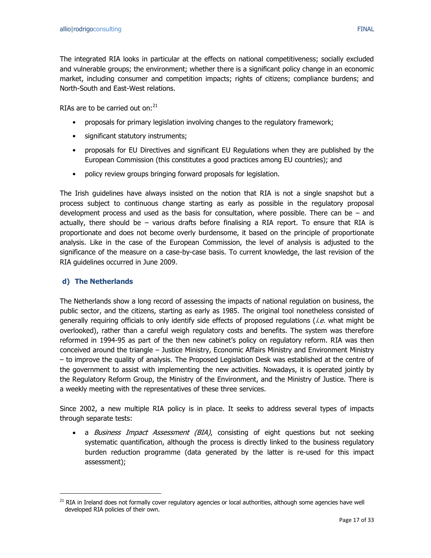The integrated RIA looks in particular at the effects on national competitiveness; socially excluded and vulnerable groups; the environment; whether there is a significant policy change in an economic market, including consumer and competition impacts; rights of citizens; compliance burdens; and North-South and East-West relations.

RIAs are to be carried out on: $^{21}$ 

- proposals for primary legislation involving changes to the regulatory framework;
- significant statutory instruments;
- proposals for EU Directives and significant EU Regulations when they are published by the European Commission (this constitutes a good practices among EU countries); and
- policy review groups bringing forward proposals for legislation.

The Irish guidelines have always insisted on the notion that RIA is not a single snapshot but a process subject to continuous change starting as early as possible in the regulatory proposal development process and used as the basis for consultation, where possible. There can be  $-$  and actually, there should be – various drafts before finalising a RIA report. To ensure that RIA is proportionate and does not become overly burdensome, it based on the principle of proportionate analysis. Like in the case of the European Commission, the level of analysis is adjusted to the significance of the measure on a case-by-case basis. To current knowledge, the last revision of the RIA guidelines occurred in June 2009.

### **d) The Netherlands**

 $\overline{a}$ 

The Netherlands show a long record of assessing the impacts of national regulation on business, the public sector, and the citizens, starting as early as 1985. The original tool nonetheless consisted of generally requiring officials to only identify side effects of proposed regulations (*i.e.* what might be overlooked), rather than a careful weigh regulatory costs and benefits. The system was therefore reformed in 1994-95 as part of the then new cabinet's policy on regulatory reform. RIA was then conceived around the triangle – Justice Ministry, Economic Affairs Ministry and Environment Ministry – to improve the quality of analysis. The Proposed Legislation Desk was established at the centre of the government to assist with implementing the new activities. Nowadays, it is operated jointly by the Regulatory Reform Group, the Ministry of the Environment, and the Ministry of Justice. There is a weekly meeting with the representatives of these three services.

Since 2002, a new multiple RIA policy is in place. It seeks to address several types of impacts through separate tests:

• a Business Impact Assessment (BIA), consisting of eight questions but not seeking systematic quantification, although the process is directly linked to the business regulatory burden reduction programme (data generated by the latter is re-used for this impact assessment);

<sup>&</sup>lt;sup>21</sup> RIA in Ireland does not formally cover regulatory agencies or local authorities, although some agencies have well developed RIA policies of their own.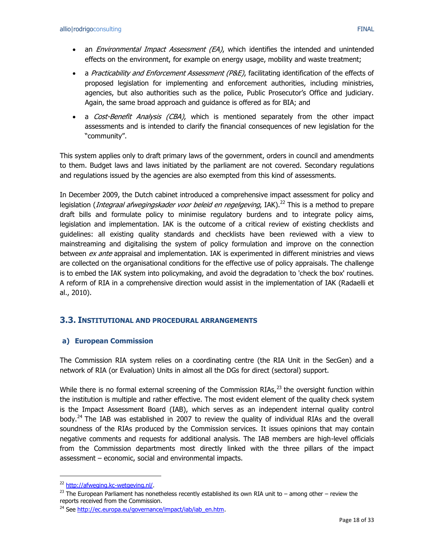- an *Environmental Impact Assessment (EA)*, which identifies the intended and unintended effects on the environment, for example on energy usage, mobility and waste treatment;
- a Practicability and Enforcement Assessment (P&E), facilitating identification of the effects of proposed legislation for implementing and enforcement authorities, including ministries, agencies, but also authorities such as the police, Public Prosecutor's Office and judiciary. Again, the same broad approach and guidance is offered as for BIA; and
- a Cost-Benefit Analysis (CBA), which is mentioned separately from the other impact assessments and is intended to clarify the financial consequences of new legislation for the "community".

This system applies only to draft primary laws of the government, orders in council and amendments to them. Budget laws and laws initiated by the parliament are not covered. Secondary regulations and regulations issued by the agencies are also exempted from this kind of assessments.

In December 2009, the Dutch cabinet introduced a comprehensive impact assessment for policy and legislation (*Integraal afwegingskader voor beleid en regelgeving*, IAK).<sup>22</sup> This is a method to prepare draft bills and formulate policy to minimise regulatory burdens and to integrate policy aims, legislation and implementation. IAK is the outcome of a critical review of existing checklists and guidelines: all existing quality standards and checklists have been reviewed with a view to mainstreaming and digitalising the system of policy formulation and improve on the connection between *ex ante* appraisal and implementation. IAK is experimented in different ministries and views are collected on the organisational conditions for the effective use of policy appraisals. The challenge is to embed the IAK system into policymaking, and avoid the degradation to 'check the box' routines. A reform of RIA in a comprehensive direction would assist in the implementation of IAK (Radaelli et al., 2010).

## <span id="page-17-0"></span>**3.3. INSTITUTIONAL AND PROCEDURAL ARRANGEMENTS**

#### **a) European Commission**

The Commission RIA system relies on a coordinating centre (the RIA Unit in the SecGen) and a network of RIA (or Evaluation) Units in almost all the DGs for direct (sectoral) support.

While there is no formal external screening of the Commission RIAs, $^{23}$  the oversight function within the institution is multiple and rather effective. The most evident element of the quality check system is the Impact Assessment Board (IAB), which serves as an independent internal quality control body.<sup>24</sup> The IAB was established in 2007 to review the quality of individual RIAs and the overall soundness of the RIAs produced by the Commission services. It issues opinions that may contain negative comments and requests for additional analysis. The IAB members are high-level officials from the Commission departments most directly linked with the three pillars of the impact assessment – economic, social and environmental impacts.

 $\overline{a}$ 

<sup>22</sup> [http://afweging.kc-wetgeving.nl/.](http://afweging.kc-wetgeving.nl/)

 $^{23}$  The European Parliament has nonetheless recently established its own RIA unit to – among other – review the reports received from the Commission.

<sup>&</sup>lt;sup>24</sup> See [http://ec.europa.eu/governance/impact/iab/iab\\_en.htm.](http://ec.europa.eu/governance/impact/iab/iab_en.htm)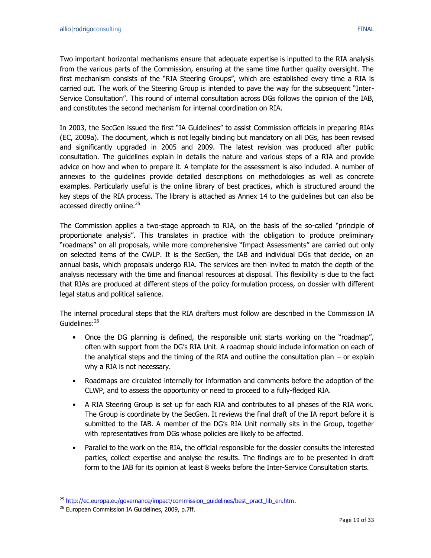Two important horizontal mechanisms ensure that adequate expertise is inputted to the RIA analysis from the various parts of the Commission, ensuring at the same time further quality oversight. The first mechanism consists of the "RIA Steering Groups", which are established every time a RIA is carried out. The work of the Steering Group is intended to pave the way for the subsequent "Inter-Service Consultation". This round of internal consultation across DGs follows the opinion of the IAB, and constitutes the second mechanism for internal coordination on RIA.

In 2003, the SecGen issued the first "IA Guidelines" to assist Commission officials in preparing RIAs (EC, 2009a). The document, which is not legally binding but mandatory on all DGs, has been revised and significantly upgraded in 2005 and 2009. The latest revision was produced after public consultation. The guidelines explain in details the nature and various steps of a RIA and provide advice on how and when to prepare it. A template for the assessment is also included. A number of annexes to the guidelines provide detailed descriptions on methodologies as well as concrete examples. Particularly useful is the online library of best practices, which is structured around the key steps of the RIA process. The library is attached as Annex 14 to the guidelines but can also be accessed directly online.<sup>25</sup>

The Commission applies a two-stage approach to RIA, on the basis of the so-called "principle of proportionate analysis". This translates in practice with the obligation to produce preliminary "roadmaps" on all proposals, while more comprehensive "Impact Assessments" are carried out only on selected items of the CWLP. It is the SecGen, the IAB and individual DGs that decide, on an annual basis, which proposals undergo RIA. The services are then invited to match the depth of the analysis necessary with the time and financial resources at disposal. This flexibility is due to the fact that RIAs are produced at different steps of the policy formulation process, on dossier with different legal status and political salience.

The internal procedural steps that the RIA drafters must follow are described in the Commission IA Guidelines:<sup>26</sup>

- Once the DG planning is defined, the responsible unit starts working on the "roadmap", often with support from the DG's RIA Unit. A roadmap should include information on each of the analytical steps and the timing of the RIA and outline the consultation plan – or explain why a RIA is not necessary.
- Roadmaps are circulated internally for information and comments before the adoption of the CLWP, and to assess the opportunity or need to proceed to a fully-fledged RIA.
- A RIA Steering Group is set up for each RIA and contributes to all phases of the RIA work. The Group is coordinate by the SecGen. It reviews the final draft of the IA report before it is submitted to the IAB. A member of the DG's RIA Unit normally sits in the Group, together with representatives from DGs whose policies are likely to be affected.
- Parallel to the work on the RIA, the official responsible for the dossier consults the interested parties, collect expertise and analyse the results. The findings are to be presented in draft form to the IAB for its opinion at least 8 weeks before the Inter-Service Consultation starts.

 $\overline{a}$ 

<sup>&</sup>lt;sup>25</sup> [http://ec.europa.eu/governance/impact/commission\\_guidelines/best\\_pract\\_lib\\_en.htm.](http://ec.europa.eu/governance/impact/commission_guidelines/best_pract_lib_en.htm)

<sup>&</sup>lt;sup>26</sup> European Commission IA Guidelines, 2009, p.7ff.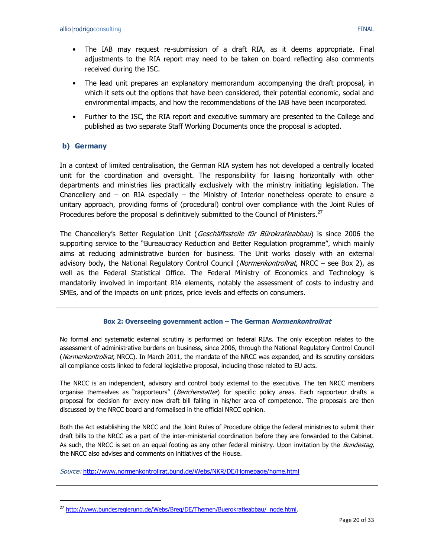- The IAB may request re-submission of a draft RIA, as it deems appropriate. Final adjustments to the RIA report may need to be taken on board reflecting also comments received during the ISC.
- The lead unit prepares an explanatory memorandum accompanying the draft proposal, in which it sets out the options that have been considered, their potential economic, social and environmental impacts, and how the recommendations of the IAB have been incorporated.
- Further to the ISC, the RIA report and executive summary are presented to the College and published as two separate Staff Working Documents once the proposal is adopted.

## **b) Germany**

 $\overline{a}$ 

In a context of limited centralisation, the German RIA system has not developed a centrally located unit for the coordination and oversight. The responsibility for liaising horizontally with other departments and ministries lies practically exclusively with the ministry initiating legislation. The Chancellery and  $-$  on RIA especially  $-$  the Ministry of Interior nonetheless operate to ensure a unitary approach, providing forms of (procedural) control over compliance with the Joint Rules of Procedures before the proposal is definitively submitted to the Council of Ministers. $^{27}$ 

The Chancellery's Better Regulation Unit (*Geschäftsstelle für Bürokratieabbau*) is since 2006 the supporting service to the "Bureaucracy Reduction and Better Regulation programme", which mainly aims at reducing administrative burden for business. The Unit works closely with an external advisory body, the National Regulatory Control Council (Normenkontrollrat, NRCC - see Box 2), as well as the Federal Statistical Office. The Federal Ministry of Economics and Technology is mandatorily involved in important RIA elements, notably the assessment of costs to industry and SMEs, and of the impacts on unit prices, price levels and effects on consumers.

#### **Box 2: Overseeing government action – The German Normenkontrollrat**

No formal and systematic external scrutiny is performed on federal RIAs. The only exception relates to the assessment of administrative burdens on business, since 2006, through the National Regulatory Control Council (Normenkontrollrat, NRCC). In March 2011, the mandate of the NRCC was expanded, and its scrutiny considers all compliance costs linked to federal legislative proposal, including those related to EU acts.

The NRCC is an independent, advisory and control body external to the executive. The ten NRCC members organise themselves as "rapporteurs" (Bericherstatter) for specific policy areas. Each rapporteur drafts a proposal for decision for every new draft bill falling in his/her area of competence. The proposals are then discussed by the NRCC board and formalised in the official NRCC opinion.

Both the Act establishing the NRCC and the Joint Rules of Procedure oblige the federal ministries to submit their draft bills to the NRCC as a part of the inter-ministerial coordination before they are forwarded to the Cabinet. As such, the NRCC is set on an equal footing as any other federal ministry. Upon invitation by the *Bundestag*, the NRCC also advises and comments on initiatives of the House.

Source: <http://www.normenkontrollrat.bund.de/Webs/NKR/DE/Homepage/home.html>

<sup>&</sup>lt;sup>27</sup> [http://www.bundesregierung.de/Webs/Breg/DE/Themen/Buerokratieabbau/\\_node.html.](http://www.bundesregierung.de/Webs/Breg/DE/Themen/Buerokratieabbau/_node.html)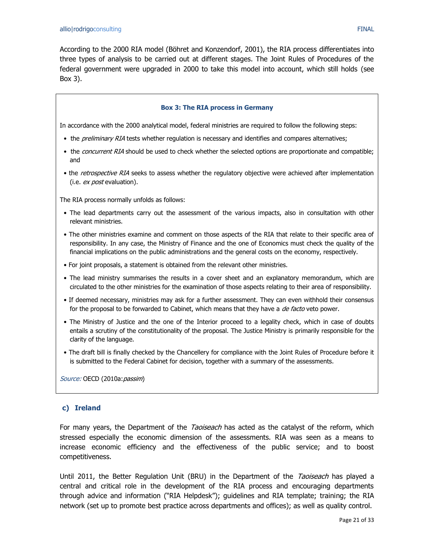According to the 2000 RIA model (Böhret and Konzendorf, 2001), the RIA process differentiates into three types of analysis to be carried out at different stages. The Joint Rules of Procedures of the federal government were upgraded in 2000 to take this model into account, which still holds (see Box 3).

#### **Box 3: The RIA process in Germany**

In accordance with the 2000 analytical model, federal ministries are required to follow the following steps:

- the *preliminary RIA* tests whether regulation is necessary and identifies and compares alternatives;
- the *concurrent RIA* should be used to check whether the selected options are proportionate and compatible; and
- the retrospective RIA seeks to assess whether the regulatory objective were achieved after implementation (i.e. *ex post* evaluation).

The RIA process normally unfolds as follows:

- The lead departments carry out the assessment of the various impacts, also in consultation with other relevant ministries.
- The other ministries examine and comment on those aspects of the RIA that relate to their specific area of responsibility. In any case, the Ministry of Finance and the one of Economics must check the quality of the financial implications on the public administrations and the general costs on the economy, respectively.
- For joint proposals, a statement is obtained from the relevant other ministries.
- The lead ministry summarises the results in a cover sheet and an explanatory memorandum, which are circulated to the other ministries for the examination of those aspects relating to their area of responsibility.
- If deemed necessary, ministries may ask for a further assessment. They can even withhold their consensus for the proposal to be forwarded to Cabinet, which means that they have a *de facto* veto power.
- The Ministry of Justice and the one of the Interior proceed to a legality check, which in case of doubts entails a scrutiny of the constitutionality of the proposal. The Justice Ministry is primarily responsible for the clarity of the language.
- The draft bill is finally checked by the Chancellery for compliance with the Joint Rules of Procedure before it is submitted to the Federal Cabinet for decision, together with a summary of the assessments.

Source: OECD (2010a: passim)

#### **c) Ireland**

For many years, the Department of the *Taoiseach* has acted as the catalyst of the reform, which stressed especially the economic dimension of the assessments. RIA was seen as a means to increase economic efficiency and the effectiveness of the public service; and to boost competitiveness.

Until 2011, the Better Regulation Unit (BRU) in the Department of the Taoiseach has played a central and critical role in the development of the RIA process and encouraging departments through advice and information ("RIA Helpdesk"); guidelines and RIA template; training; the RIA network (set up to promote best practice across departments and offices); as well as quality control.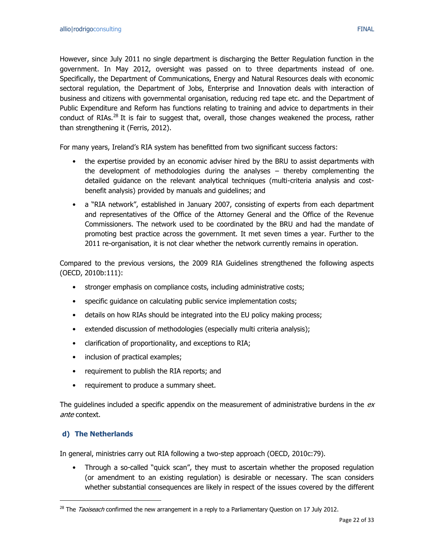However, since July 2011 no single department is discharging the Better Regulation function in the government. In May 2012, oversight was passed on to three departments instead of one. Specifically, the Department of Communications, Energy and Natural Resources deals with economic sectoral regulation, the Department of Jobs, Enterprise and Innovation deals with interaction of business and citizens with governmental organisation, reducing red tape etc. and the Department of Public Expenditure and Reform has functions relating to training and advice to departments in their conduct of RIAs. $^{28}$  It is fair to suggest that, overall, those changes weakened the process, rather than strengthening it (Ferris, 2012).

For many years, Ireland's RIA system has benefitted from two significant success factors:

- the expertise provided by an economic adviser hired by the BRU to assist departments with the development of methodologies during the analyses – thereby complementing the detailed guidance on the relevant analytical techniques (multi-criteria analysis and costbenefit analysis) provided by manuals and guidelines; and
- a "RIA network", established in January 2007, consisting of experts from each department and representatives of the Office of the Attorney General and the Office of the Revenue Commissioners. The network used to be coordinated by the BRU and had the mandate of promoting best practice across the government. It met seven times a year. Further to the 2011 re-organisation, it is not clear whether the network currently remains in operation.

Compared to the previous versions, the 2009 RIA Guidelines strengthened the following aspects (OECD, 2010b:111):

- stronger emphasis on compliance costs, including administrative costs;
- specific guidance on calculating public service implementation costs;
- details on how RIAs should be integrated into the EU policy making process;
- extended discussion of methodologies (especially multi criteria analysis);
- clarification of proportionality, and exceptions to RIA;
- inclusion of practical examples;
- requirement to publish the RIA reports; and
- requirement to produce a summary sheet.

The guidelines included a specific appendix on the measurement of administrative burdens in the  $ex$ ante context.

## **d) The Netherlands**

 $\overline{a}$ 

In general, ministries carry out RIA following a two-step approach (OECD, 2010c:79).

• Through a so-called "quick scan", they must to ascertain whether the proposed regulation (or amendment to an existing regulation) is desirable or necessary. The scan considers whether substantial consequences are likely in respect of the issues covered by the different

<sup>&</sup>lt;sup>28</sup> The *Taoiseach* confirmed the new arrangement in a reply to a Parliamentary Question on 17 July 2012.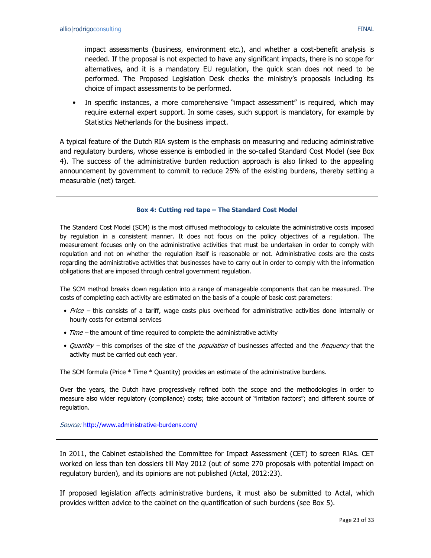impact assessments (business, environment etc.), and whether a cost-benefit analysis is needed. If the proposal is not expected to have any significant impacts, there is no scope for alternatives, and it is a mandatory EU regulation, the quick scan does not need to be performed. The Proposed Legislation Desk checks the ministry's proposals including its choice of impact assessments to be performed.

In specific instances, a more comprehensive "impact assessment" is required, which may require external expert support. In some cases, such support is mandatory, for example by Statistics Netherlands for the business impact.

A typical feature of the Dutch RIA system is the emphasis on measuring and reducing administrative and regulatory burdens, whose essence is embodied in the so-called Standard Cost Model (see Box 4). The success of the administrative burden reduction approach is also linked to the appealing announcement by government to commit to reduce 25% of the existing burdens, thereby setting a measurable (net) target.

#### **Box 4: Cutting red tape – The Standard Cost Model**

The Standard Cost Model (SCM) is the most diffused methodology to calculate the administrative costs imposed by regulation in a consistent manner. It does not focus on the policy objectives of a regulation. The measurement focuses only on the administrative activities that must be undertaken in order to comply with regulation and not on whether the regulation itself is reasonable or not. Administrative costs are the costs regarding the administrative activities that businesses have to carry out in order to comply with the information obligations that are imposed through central government regulation.

The SCM method breaks down regulation into a range of manageable components that can be measured. The costs of completing each activity are estimated on the basis of a couple of basic cost parameters:

- Price this consists of a tariff, wage costs plus overhead for administrative activities done internally or hourly costs for external services
- $Time$  the amount of time required to complete the administrative activity
- Quantity this comprises of the size of the *population* of businesses affected and the *frequency* that the activity must be carried out each year.

The SCM formula (Price \* Time \* Quantity) provides an estimate of the administrative burdens.

Over the years, the Dutch have progressively refined both the scope and the methodologies in order to measure also wider regulatory (compliance) costs; take account of "irritation factors"; and different source of regulation.

Source: <http://www.administrative-burdens.com/>

In 2011, the Cabinet established the Committee for Impact Assessment (CET) to screen RIAs. CET worked on less than ten dossiers till May 2012 (out of some 270 proposals with potential impact on regulatory burden), and its opinions are not published (Actal, 2012:23).

If proposed legislation affects administrative burdens, it must also be submitted to Actal, which provides written advice to the cabinet on the quantification of such burdens (see Box 5).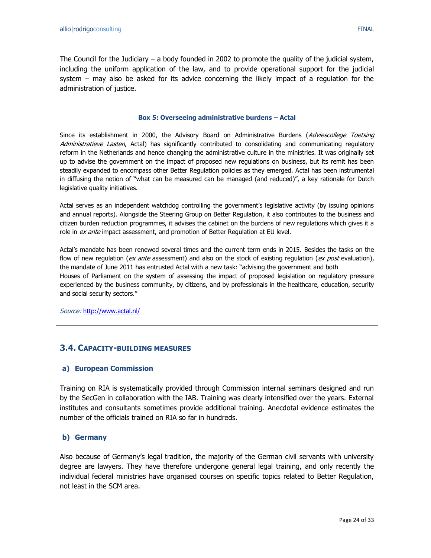The Council for the Judiciary – a body founded in 2002 to promote the quality of the judicial system, including the uniform application of the law, and to provide operational support for the judicial system – may also be asked for its advice concerning the likely impact of a regulation for the administration of justice.

#### **Box 5: Overseeing administrative burdens – Actal**

Since its establishment in 2000, the Advisory Board on Administrative Burdens (Adviescollege Toetsing Administratieve Lasten, Actal) has significantly contributed to consolidating and communicating regulatory reform in the Netherlands and hence changing the administrative culture in the ministries. It was originally set up to advise the government on the impact of proposed new regulations on business, but its remit has been steadily expanded to encompass other Better Regulation policies as they emerged. Actal has been instrumental in diffusing the notion of "what can be measured can be managed (and reduced)", a key rationale for Dutch legislative quality initiatives.

Actal serves as an independent watchdog controlling the government's legislative activity (by issuing opinions and annual reports). Alongside the Steering Group on Better Regulation, it also contributes to the business and citizen burden reduction programmes, it advises the cabinet on the burdens of new regulations which gives it a role in ex ante impact assessment, and promotion of Better Regulation at EU level.

Actal's mandate has been renewed several times and the current term ends in 2015. Besides the tasks on the flow of new regulation (ex ante assessment) and also on the stock of existing regulation (ex post evaluation), the mandate of June 2011 has entrusted Actal with a new task: "advising the government and both Houses of Parliament on the system of assessing the impact of proposed legislation on regulatory pressure experienced by the business community, by citizens, and by professionals in the healthcare, education, security and social security sectors."

Source: <http://www.actal.nl/>

## <span id="page-23-0"></span>**3.4. CAPACITY-BUILDING MEASURES**

#### **a) European Commission**

Training on RIA is systematically provided through Commission internal seminars designed and run by the SecGen in collaboration with the IAB. Training was clearly intensified over the years. External institutes and consultants sometimes provide additional training. Anecdotal evidence estimates the number of the officials trained on RIA so far in hundreds.

#### **b) Germany**

Also because of Germany's legal tradition, the majority of the German civil servants with university degree are lawyers. They have therefore undergone general legal training, and only recently the individual federal ministries have organised courses on specific topics related to Better Regulation, not least in the SCM area.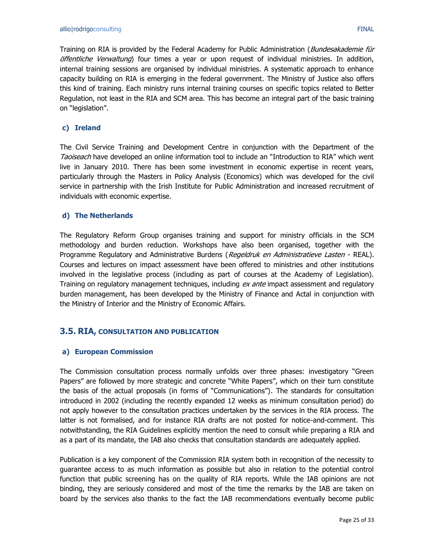Training on RIA is provided by the Federal Academy for Public Administration (*Bundesakademie für* öffentliche Verwaltung) four times a vear or upon request of individual ministries. In addition, internal training sessions are organised by individual ministries. A systematic approach to enhance capacity building on RIA is emerging in the federal government. The Ministry of Justice also offers this kind of training. Each ministry runs internal training courses on specific topics related to Better Regulation, not least in the RIA and SCM area. This has become an integral part of the basic training on "legislation".

#### **c) Ireland**

The Civil Service Training and Development Centre in conjunction with the Department of the Taoiseach have developed an online information tool to include an "Introduction to RIA" which went live in January 2010. There has been some investment in economic expertise in recent years, particularly through the Masters in Policy Analysis (Economics) which was developed for the civil service in partnership with the Irish Institute for Public Administration and increased recruitment of individuals with economic expertise.

#### **d) The Netherlands**

The Regulatory Reform Group organises training and support for ministry officials in the SCM methodology and burden reduction. Workshops have also been organised, together with the Programme Regulatory and Administrative Burdens (Regeldruk en Administratieve Lasten - REAL). Courses and lectures on impact assessment have been offered to ministries and other institutions involved in the legislative process (including as part of courses at the Academy of Legislation). Training on regulatory management techniques, including ex ante impact assessment and regulatory burden management, has been developed by the Ministry of Finance and Actal in conjunction with the Ministry of Interior and the Ministry of Economic Affairs.

#### <span id="page-24-0"></span>**3.5. RIA, CONSULTATION AND PUBLICATION**

#### **a) European Commission**

The Commission consultation process normally unfolds over three phases: investigatory "Green Papers" are followed by more strategic and concrete "White Papers", which on their turn constitute the basis of the actual proposals (in forms of "Communications"). The standards for consultation introduced in 2002 (including the recently expanded 12 weeks as minimum consultation period) do not apply however to the consultation practices undertaken by the services in the RIA process. The latter is not formalised, and for instance RIA drafts are not posted for notice-and-comment. This notwithstanding, the RIA Guidelines explicitly mention the need to consult while preparing a RIA and as a part of its mandate, the IAB also checks that consultation standards are adequately applied.

Publication is a key component of the Commission RIA system both in recognition of the necessity to guarantee access to as much information as possible but also in relation to the potential control function that public screening has on the quality of RIA reports. While the IAB opinions are not binding, they are seriously considered and most of the time the remarks by the IAB are taken on board by the services also thanks to the fact the IAB recommendations eventually become public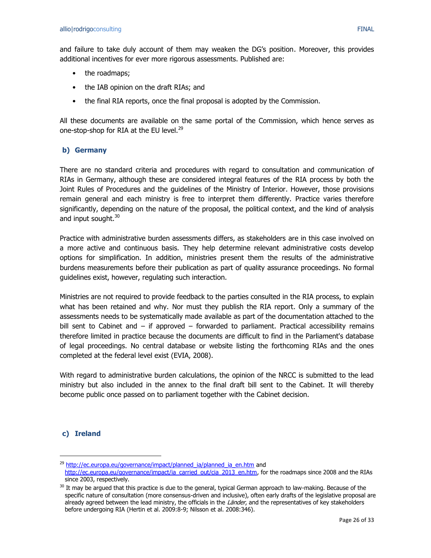and failure to take duly account of them may weaken the DG's position. Moreover, this provides additional incentives for ever more rigorous assessments. Published are:

- the roadmaps;
- the IAB opinion on the draft RIAs; and
- the final RIA reports, once the final proposal is adopted by the Commission.

All these documents are available on the same portal of the Commission, which hence serves as one-stop-shop for RIA at the EU level.<sup>29</sup>

#### **b) Germany**

There are no standard criteria and procedures with regard to consultation and communication of RIAs in Germany, although these are considered integral features of the RIA process by both the Joint Rules of Procedures and the guidelines of the Ministry of Interior. However, those provisions remain general and each ministry is free to interpret them differently. Practice varies therefore significantly, depending on the nature of the proposal, the political context, and the kind of analysis and input sought.<sup>30</sup>

Practice with administrative burden assessments differs, as stakeholders are in this case involved on a more active and continuous basis. They help determine relevant administrative costs develop options for simplification. In addition, ministries present them the results of the administrative burdens measurements before their publication as part of quality assurance proceedings. No formal guidelines exist, however, regulating such interaction.

Ministries are not required to provide feedback to the parties consulted in the RIA process, to explain what has been retained and why. Nor must they publish the RIA report. Only a summary of the assessments needs to be systematically made available as part of the documentation attached to the bill sent to Cabinet and  $-$  if approved  $-$  forwarded to parliament. Practical accessibility remains therefore limited in practice because the documents are difficult to find in the Parliament's database of legal proceedings. No central database or website listing the forthcoming RIAs and the ones completed at the federal level exist (EVIA, 2008).

With regard to administrative burden calculations, the opinion of the NRCC is submitted to the lead ministry but also included in the annex to the final draft bill sent to the Cabinet. It will thereby become public once passed on to parliament together with the Cabinet decision.

## **c) Ireland**

 $\ddot{\phantom{a}}$ 

<sup>&</sup>lt;sup>29</sup> [http://ec.europa.eu/governance/impact/planned\\_ia/planned\\_ia\\_en.htm](http://ec.europa.eu/governance/impact/planned_ia/planned_ia_en.htm) and

[http://ec.europa.eu/governance/impact/ia\\_carried\\_out/cia\\_2013\\_en.htm,](http://ec.europa.eu/governance/impact/ia_carried_out/cia_2013_en.htm) for the roadmaps since 2008 and the RIAs since 2003, respectively.

 $30$  It may be argued that this practice is due to the general, typical German approach to law-making. Because of the specific nature of consultation (more consensus-driven and inclusive), often early drafts of the legislative proposal are already agreed between the lead ministry, the officials in the Länder, and the representatives of key stakeholders before undergoing RIA (Hertin et al. 2009:8-9; Nilsson et al. 2008:346).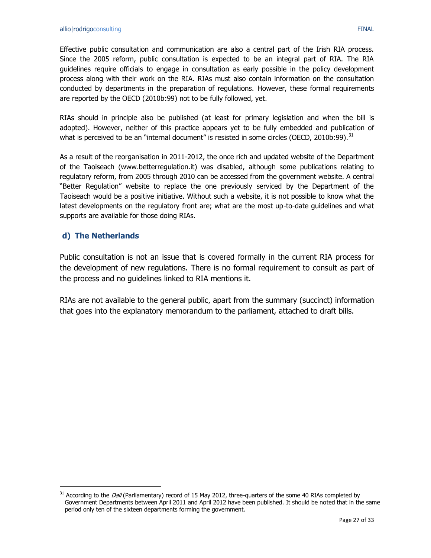Effective public consultation and communication are also a central part of the Irish RIA process. Since the 2005 reform, public consultation is expected to be an integral part of RIA. The RIA guidelines require officials to engage in consultation as early possible in the policy development process along with their work on the RIA. RIAs must also contain information on the consultation conducted by departments in the preparation of regulations. However, these formal requirements are reported by the OECD (2010b:99) not to be fully followed, yet.

RIAs should in principle also be published (at least for primary legislation and when the bill is adopted). However, neither of this practice appears yet to be fully embedded and publication of what is perceived to be an "internal document" is resisted in some circles (OECD, 2010b:99).<sup>31</sup>

As a result of the reorganisation in 2011-2012, the once rich and updated website of the Department of the Taoiseach (www.betterregulation.it) was disabled, although some publications relating to regulatory reform, from 2005 through 2010 can be accessed from the government website. A central "Better Regulation" website to replace the one previously serviced by the Department of the Taoiseach would be a positive initiative. Without such a website, it is not possible to know what the latest developments on the regulatory front are; what are the most up-to-date guidelines and what supports are available for those doing RIAs.

## **d) The Netherlands**

 $\overline{a}$ 

Public consultation is not an issue that is covered formally in the current RIA process for the development of new regulations. There is no formal requirement to consult as part of the process and no guidelines linked to RIA mentions it.

RIAs are not available to the general public, apart from the summary (succinct) information that goes into the explanatory memorandum to the parliament, attached to draft bills.

 $31$  According to the *Dail* (Parliamentary) record of 15 May 2012, three-quarters of the some 40 RIAs completed by Government Departments between April 2011 and April 2012 have been published. It should be noted that in the same period only ten of the sixteen departments forming the government.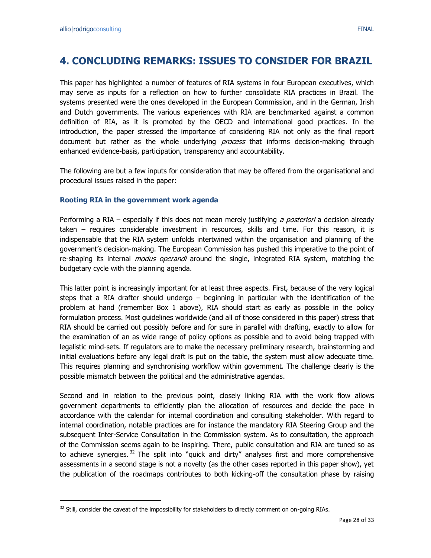$\overline{a}$ 

## <span id="page-27-0"></span>**4. CONCLUDING REMARKS: ISSUES TO CONSIDER FOR BRAZIL**

This paper has highlighted a number of features of RIA systems in four European executives, which may serve as inputs for a reflection on how to further consolidate RIA practices in Brazil. The systems presented were the ones developed in the European Commission, and in the German, Irish and Dutch governments. The various experiences with RIA are benchmarked against a common definition of RIA, as it is promoted by the OECD and international good practices. In the introduction, the paper stressed the importance of considering RIA not only as the final report document but rather as the whole underlying *process* that informs decision-making through enhanced evidence-basis, participation, transparency and accountability.

The following are but a few inputs for consideration that may be offered from the organisational and procedural issues raised in the paper:

## **Rooting RIA in the government work agenda**

Performing a RIA – especially if this does not mean merely justifying a posteriori a decision already taken – requires considerable investment in resources, skills and time. For this reason, it is indispensable that the RIA system unfolds intertwined within the organisation and planning of the government's decision-making. The European Commission has pushed this imperative to the point of re-shaping its internal *modus operandi* around the single, integrated RIA system, matching the budgetary cycle with the planning agenda.

This latter point is increasingly important for at least three aspects. First, because of the very logical steps that a RIA drafter should undergo – beginning in particular with the identification of the problem at hand (remember Box 1 above), RIA should start as early as possible in the policy formulation process. Most guidelines worldwide (and all of those considered in this paper) stress that RIA should be carried out possibly before and for sure in parallel with drafting, exactly to allow for the examination of an as wide range of policy options as possible and to avoid being trapped with legalistic mind-sets. If regulators are to make the necessary preliminary research, brainstorming and initial evaluations before any legal draft is put on the table, the system must allow adequate time. This requires planning and synchronising workflow within government. The challenge clearly is the possible mismatch between the political and the administrative agendas.

Second and in relation to the previous point, closely linking RIA with the work flow allows government departments to efficiently plan the allocation of resources and decide the pace in accordance with the calendar for internal coordination and consulting stakeholder. With regard to internal coordination, notable practices are for instance the mandatory RIA Steering Group and the subsequent Inter-Service Consultation in the Commission system. As to consultation, the approach of the Commission seems again to be inspiring. There, public consultation and RIA are tuned so as to achieve synergies.  $32$  The split into "quick and dirty" analyses first and more comprehensive assessments in a second stage is not a novelty (as the other cases reported in this paper show), yet the publication of the roadmaps contributes to both kicking-off the consultation phase by raising

<sup>32</sup> Still, consider the caveat of the impossibility for stakeholders to directly comment on on-going RIAs.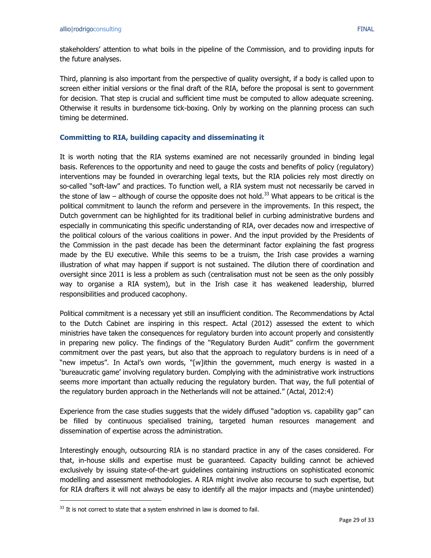stakeholders' attention to what boils in the pipeline of the Commission, and to providing inputs for the future analyses.

Third, planning is also important from the perspective of quality oversight, if a body is called upon to screen either initial versions or the final draft of the RIA, before the proposal is sent to government for decision. That step is crucial and sufficient time must be computed to allow adequate screening. Otherwise it results in burdensome tick-boxing. Only by working on the planning process can such timing be determined.

### **Committing to RIA, building capacity and disseminating it**

It is worth noting that the RIA systems examined are not necessarily grounded in binding legal basis. References to the opportunity and need to gauge the costs and benefits of policy (regulatory) interventions may be founded in overarching legal texts, but the RIA policies rely most directly on so-called "soft-law" and practices. To function well, a RIA system must not necessarily be carved in the stone of law – although of course the opposite does not hold.<sup>33</sup> What appears to be critical is the political commitment to launch the reform and persevere in the improvements. In this respect, the Dutch government can be highlighted for its traditional belief in curbing administrative burdens and especially in communicating this specific understanding of RIA, over decades now and irrespective of the political colours of the various coalitions in power. And the input provided by the Presidents of the Commission in the past decade has been the determinant factor explaining the fast progress made by the EU executive. While this seems to be a truism, the Irish case provides a warning illustration of what may happen if support is not sustained. The dilution there of coordination and oversight since 2011 is less a problem as such (centralisation must not be seen as the only possibly way to organise a RIA system), but in the Irish case it has weakened leadership, blurred responsibilities and produced cacophony.

Political commitment is a necessary yet still an insufficient condition. The Recommendations by Actal to the Dutch Cabinet are inspiring in this respect. Actal (2012) assessed the extent to which ministries have taken the consequences for regulatory burden into account properly and consistently in preparing new policy. The findings of the "Regulatory Burden Audit" confirm the government commitment over the past years, but also that the approach to regulatory burdens is in need of a "new impetus". In Actal's own words, "[w]ithin the government, much energy is wasted in a 'bureaucratic game' involving regulatory burden. Complying with the administrative work instructions seems more important than actually reducing the regulatory burden. That way, the full potential of the regulatory burden approach in the Netherlands will not be attained." (Actal, 2012:4)

Experience from the case studies suggests that the widely diffused "adoption vs. capability gap" can be filled by continuous specialised training, targeted human resources management and dissemination of expertise across the administration.

Interestingly enough, outsourcing RIA is no standard practice in any of the cases considered. For that, in-house skills and expertise must be guaranteed. Capacity building cannot be achieved exclusively by issuing state-of-the-art guidelines containing instructions on sophisticated economic modelling and assessment methodologies. A RIA might involve also recourse to such expertise, but for RIA drafters it will not always be easy to identify all the major impacts and (maybe unintended)

 $\overline{a}$ 

 $33$  It is not correct to state that a system enshrined in law is doomed to fail.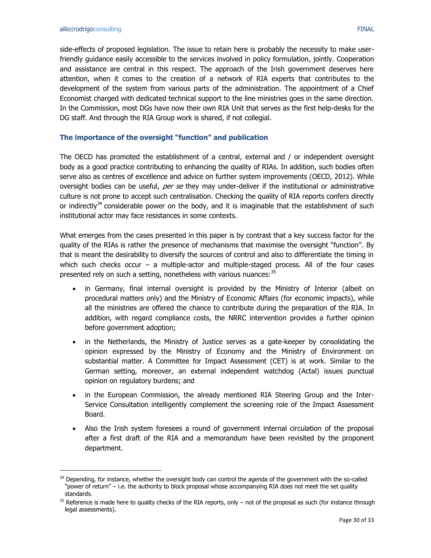$\overline{a}$ 

side-effects of proposed legislation. The issue to retain here is probably the necessity to make userfriendly guidance easily accessible to the services involved in policy formulation, jointly. Cooperation and assistance are central in this respect. The approach of the Irish government deserves here attention, when it comes to the creation of a network of RIA experts that contributes to the development of the system from various parts of the administration. The appointment of a Chief Economist charged with dedicated technical support to the line ministries goes in the same direction. In the Commission, most DGs have now their own RIA Unit that serves as the first help-desks for the DG staff. And through the RIA Group work is shared, if not collegial.

### **The importance of the oversight "function" and publication**

The OECD has promoted the establishment of a central, external and / or independent oversight body as a good practice contributing to enhancing the quality of RIAs. In addition, such bodies often serve also as centres of excellence and advice on further system improvements (OECD, 2012). While oversight bodies can be useful, per se they may under-deliver if the institutional or administrative culture is not prone to accept such centralisation. Checking the quality of RIA reports confers directly or indirectly $34$  considerable power on the body, and it is imaginable that the establishment of such institutional actor may face resistances in some contexts.

What emerges from the cases presented in this paper is by contrast that a key success factor for the quality of the RIAs is rather the presence of mechanisms that maximise the oversight "function". By that is meant the desirability to diversify the sources of control and also to differentiate the timing in which such checks occur – a multiple-actor and multiple-staged process. All of the four cases presented rely on such a setting, nonetheless with various nuances:  $35$ 

- in Germany, final internal oversight is provided by the Ministry of Interior (albeit on procedural matters only) and the Ministry of Economic Affairs (for economic impacts), while all the ministries are offered the chance to contribute during the preparation of the RIA. In addition, with regard compliance costs, the NRRC intervention provides a further opinion before government adoption;
- in the Netherlands, the Ministry of Justice serves as a gate-keeper by consolidating the opinion expressed by the Ministry of Economy and the Ministry of Environment on substantial matter. A Committee for Impact Assessment (CET) is at work. Similar to the German setting, moreover, an external independent watchdog (Actal) issues punctual opinion on regulatory burdens; and
- in the European Commission, the already mentioned RIA Steering Group and the Inter-Service Consultation intelligently complement the screening role of the Impact Assessment Board.
- Also the Irish system foresees a round of government internal circulation of the proposal after a first draft of the RIA and a memorandum have been revisited by the proponent department.

<sup>&</sup>lt;sup>34</sup> Depending, for instance, whether the oversight body can control the agenda of the government with the so-called "power of return" – i.e. the authority to block proposal whose accompanying RIA does not meet the set quality standards.

 $35$  Reference is made here to quality checks of the RIA reports, only  $-$  not of the proposal as such (for instance through legal assessments).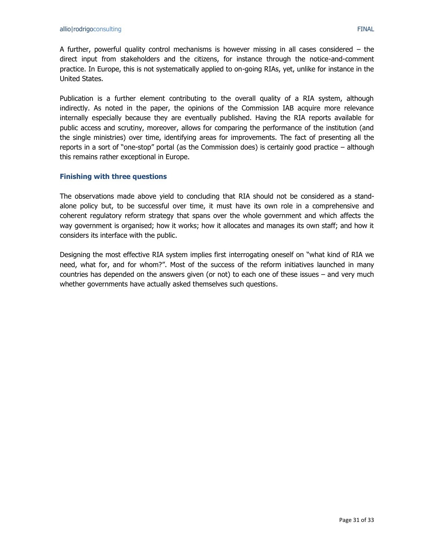A further, powerful quality control mechanisms is however missing in all cases considered – the direct input from stakeholders and the citizens, for instance through the notice-and-comment practice. In Europe, this is not systematically applied to on-going RIAs, yet, unlike for instance in the United States.

Publication is a further element contributing to the overall quality of a RIA system, although indirectly. As noted in the paper, the opinions of the Commission IAB acquire more relevance internally especially because they are eventually published. Having the RIA reports available for public access and scrutiny, moreover, allows for comparing the performance of the institution (and the single ministries) over time, identifying areas for improvements. The fact of presenting all the reports in a sort of "one-stop" portal (as the Commission does) is certainly good practice – although this remains rather exceptional in Europe.

### **Finishing with three questions**

The observations made above yield to concluding that RIA should not be considered as a standalone policy but, to be successful over time, it must have its own role in a comprehensive and coherent regulatory reform strategy that spans over the whole government and which affects the way government is organised; how it works; how it allocates and manages its own staff; and how it considers its interface with the public.

Designing the most effective RIA system implies first interrogating oneself on "what kind of RIA we need, what for, and for whom?". Most of the success of the reform initiatives launched in many countries has depended on the answers given (or not) to each one of these issues – and very much whether governments have actually asked themselves such questions.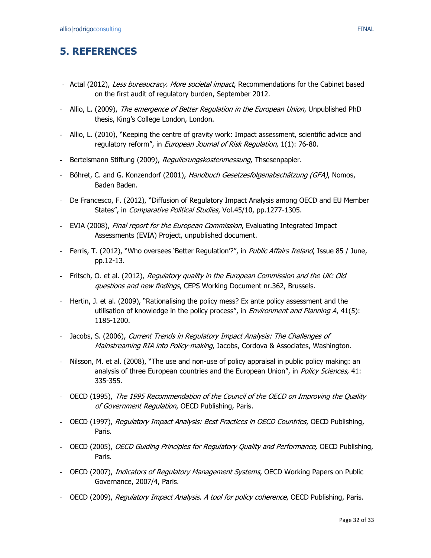## <span id="page-31-0"></span>**5. REFERENCES**

- Actal (2012), Less bureaucracy. More societal impact, Recommendations for the Cabinet based on the first audit of regulatory burden, September 2012.
- Allio, L. (2009), The emergence of Better Regulation in the European Union, Unpublished PhD thesis, King's College London, London.
- Allio, L. (2010), "Keeping the centre of gravity work: Impact assessment, scientific advice and regulatory reform", in *European Journal of Risk Regulation*, 1(1): 76-80.
- Bertelsmann Stiftung (2009), Regulierungskostenmessung, Thsesenpapier.
- Böhret, C. and G. Konzendorf (2001), Handbuch Gesetzesfolgenabschätzung (GFA), Nomos, Baden Baden.
- De Francesco, F. (2012), "Diffusion of Regulatory Impact Analysis among OECD and EU Member States", in *Comparative Political Studies*, Vol.45/10, pp.1277-1305.
- EVIA (2008), Final report for the European Commission, Evaluating Integrated Impact Assessments (EVIA) Project, unpublished document.
- Ferris, T. (2012), "Who oversees 'Better Regulation'?", in *Public Affairs Ireland*, Issue 85 / June, pp.12-13.
- Fritsch, O. et al. (2012), Regulatory quality in the European Commission and the UK: Old questions and new findings, CEPS Working Document nr.362, Brussels.
- Hertin, J. et al. (2009), "Rationalising the policy mess? Ex ante policy assessment and the utilisation of knowledge in the policy process", in *Environment and Planning A*,  $41(5)$ : 1185-1200.
- Jacobs, S. (2006), Current Trends in Regulatory Impact Analysis: The Challenges of Mainstreaming RIA into Policy-making, Jacobs, Cordova & Associates, Washington.
- Nilsson, M. et al. (2008), "The use and non-use of policy appraisal in public policy making: an analysis of three European countries and the European Union", in Policy Sciences, 41: 335-355.
- OECD (1995), The 1995 Recommendation of the Council of the OECD on Improving the Quality of Government Regulation, OECD Publishing, Paris.
- OECD (1997), Regulatory Impact Analysis: Best Practices in OECD Countries, OECD Publishing, Paris.
- OECD (2005), OECD Guiding Principles for Regulatory Ouality and Performance, OECD Publishing, Paris.
- OECD (2007), *Indicators of Regulatory Management Systems*, OECD Working Papers on Public Governance, 2007/4, Paris.
- OECD (2009), Regulatory Impact Analysis. A tool for policy coherence, OECD Publishing, Paris.